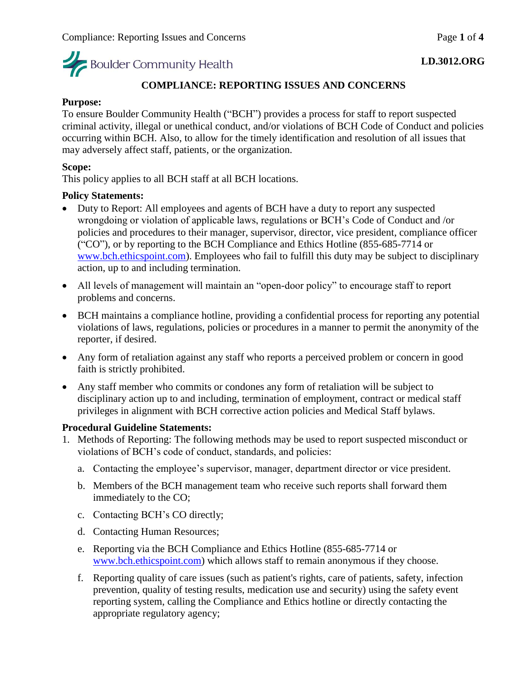

#### **COMPLIANCE: REPORTING ISSUES AND CONCERNS**

#### **Purpose:**

To ensure Boulder Community Health ("BCH") provides a process for staff to report suspected criminal activity, illegal or unethical conduct, and/or violations of BCH Code of Conduct and policies occurring within BCH. Also, to allow for the timely identification and resolution of all issues that may adversely affect staff, patients, or the organization.

#### **Scope:**

This policy applies to all BCH staff at all BCH locations.

#### **Policy Statements:**

- Duty to Report: All employees and agents of BCH have a duty to report any suspected wrongdoing or violation of applicable laws, regulations or BCH's Code of Conduct and /or policies and procedures to their manager, supervisor, director, vice president, compliance officer ("CO"), or by reporting to the BCH Compliance and Ethics Hotline (855-685-7714 or [www.bch.ethicspoint.com\)](www.bch.ethicspoint.com). Employees who fail to fulfill this duty may be subject to disciplinary action, up to and including termination.
- All levels of management will maintain an "open-door policy" to encourage staff to report problems and concerns.
- BCH maintains a compliance hotline, providing a confidential process for reporting any potential violations of laws, regulations, policies or procedures in a manner to permit the anonymity of the reporter, if desired.
- Any form of retaliation against any staff who reports a perceived problem or concern in good faith is strictly prohibited.
- Any staff member who commits or condones any form of retaliation will be subject to disciplinary action up to and including, termination of employment, contract or medical staff privileges in alignment with BCH corrective action policies and Medical Staff bylaws.

#### **Procedural Guideline Statements:**

- 1. Methods of Reporting: The following methods may be used to report suspected misconduct or violations of BCH's code of conduct, standards, and policies:
	- a. Contacting the employee's supervisor, manager, department director or vice president.
	- b. Members of the BCH management team who receive such reports shall forward them immediately to the CO;
	- c. Contacting BCH's CO directly;
	- d. Contacting Human Resources;
	- e. Reporting via the BCH Compliance and Ethics Hotline (855-685-7714 or [www.bch.ethicspoint.com\)](http://www.bch.ethicspoint.com/) which allows staff to remain anonymous if they choose.
	- f. Reporting quality of care issues (such as patient's rights, care of patients, safety, infection prevention, quality of testing results, medication use and security) using the safety event reporting system, calling the Compliance and Ethics hotline or directly contacting the appropriate regulatory agency;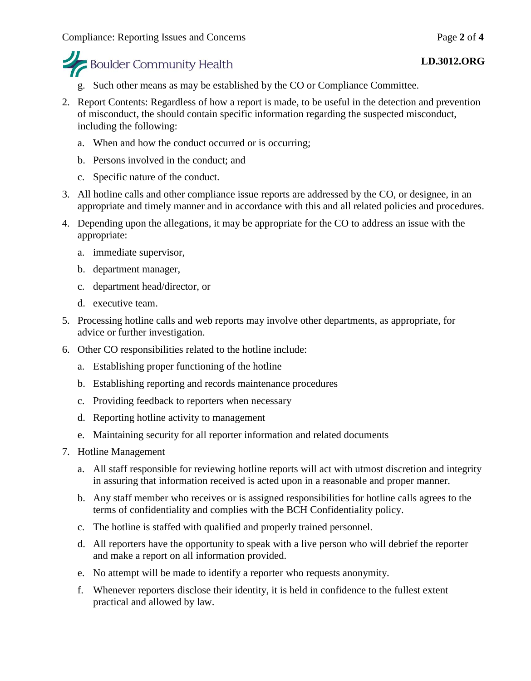## **Boulder Community Health**

- g. Such other means as may be established by the CO or Compliance Committee.
- 2. Report Contents: Regardless of how a report is made, to be useful in the detection and prevention of misconduct, the should contain specific information regarding the suspected misconduct, including the following:
	- a. When and how the conduct occurred or is occurring;
	- b. Persons involved in the conduct; and
	- c. Specific nature of the conduct.
- 3. All hotline calls and other compliance issue reports are addressed by the CO, or designee, in an appropriate and timely manner and in accordance with this and all related policies and procedures.
- 4. Depending upon the allegations, it may be appropriate for the CO to address an issue with the appropriate:
	- a. immediate supervisor,
	- b. department manager,
	- c. department head/director, or
	- d. executive team.
- 5. Processing hotline calls and web reports may involve other departments, as appropriate, for advice or further investigation.
- 6. Other CO responsibilities related to the hotline include:
	- a. Establishing proper functioning of the hotline
	- b. Establishing reporting and records maintenance procedures
	- c. Providing feedback to reporters when necessary
	- d. Reporting hotline activity to management
	- e. Maintaining security for all reporter information and related documents
- 7. Hotline Management
	- a. All staff responsible for reviewing hotline reports will act with utmost discretion and integrity in assuring that information received is acted upon in a reasonable and proper manner.
	- b. Any staff member who receives or is assigned responsibilities for hotline calls agrees to the terms of confidentiality and complies with the BCH Confidentiality policy.
	- c. The hotline is staffed with qualified and properly trained personnel.
	- d. All reporters have the opportunity to speak with a live person who will debrief the reporter and make a report on all information provided.
	- e. No attempt will be made to identify a reporter who requests anonymity.
	- f. Whenever reporters disclose their identity, it is held in confidence to the fullest extent practical and allowed by law.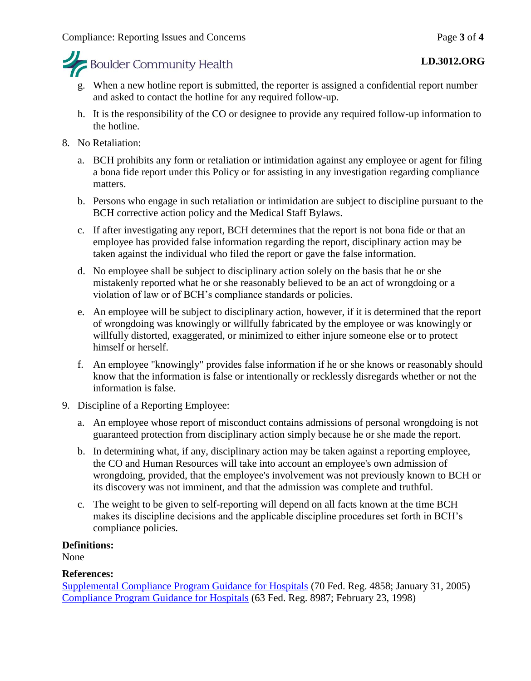

- g. When a new hotline report is submitted, the reporter is assigned a confidential report number and asked to contact the hotline for any required follow-up.
- h. It is the responsibility of the CO or designee to provide any required follow-up information to the hotline.
- 8. No Retaliation:
	- a. BCH prohibits any form or retaliation or intimidation against any employee or agent for filing a bona fide report under this Policy or for assisting in any investigation regarding compliance matters.
	- b. Persons who engage in such retaliation or intimidation are subject to discipline pursuant to the BCH corrective action policy and the Medical Staff Bylaws.
	- c. If after investigating any report, BCH determines that the report is not bona fide or that an employee has provided false information regarding the report, disciplinary action may be taken against the individual who filed the report or gave the false information.
	- d. No employee shall be subject to disciplinary action solely on the basis that he or she mistakenly reported what he or she reasonably believed to be an act of wrongdoing or a violation of law or of BCH's compliance standards or policies.
	- e. An employee will be subject to disciplinary action, however, if it is determined that the report of wrongdoing was knowingly or willfully fabricated by the employee or was knowingly or willfully distorted, exaggerated, or minimized to either injure someone else or to protect himself or herself.
	- f. An employee "knowingly" provides false information if he or she knows or reasonably should know that the information is false or intentionally or recklessly disregards whether or not the information is false.
- 9. Discipline of a Reporting Employee:
	- a. An employee whose report of misconduct contains admissions of personal wrongdoing is not guaranteed protection from disciplinary action simply because he or she made the report.
	- b. In determining what, if any, disciplinary action may be taken against a reporting employee, the CO and Human Resources will take into account an employee's own admission of wrongdoing, provided, that the employee's involvement was not previously known to BCH or its discovery was not imminent, and that the admission was complete and truthful.
	- c. The weight to be given to self-reporting will depend on all facts known at the time BCH makes its discipline decisions and the applicable discipline procedures set forth in BCH's compliance policies.

#### **Definitions:**

None

#### **References:**

[Supplemental Compliance Program Guidance for Hospitals](file://///INFSYS39/fraud/docs/complianceguidance/012705HospSupplementalGuidance.pdf) (70 Fed. Reg. 4858; January 31, 2005) [Compliance Program Guidance for Hospitals](file://///INFSYS39/authorities/docs/cpghosp.pdf) (63 Fed. Reg. 8987; February 23, 1998)